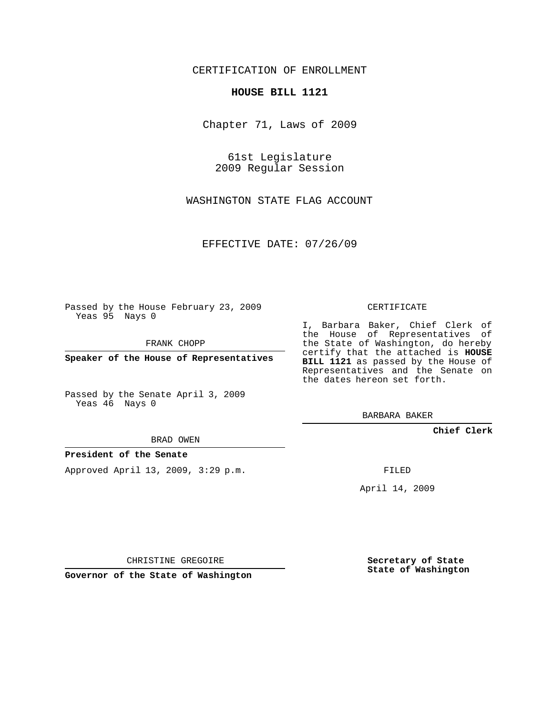### CERTIFICATION OF ENROLLMENT

#### **HOUSE BILL 1121**

Chapter 71, Laws of 2009

61st Legislature 2009 Regular Session

WASHINGTON STATE FLAG ACCOUNT

EFFECTIVE DATE: 07/26/09

Passed by the House February 23, 2009 Yeas 95 Nays 0

FRANK CHOPP

**Speaker of the House of Representatives**

Passed by the Senate April 3, 2009 Yeas 46 Nays 0

BRAD OWEN

#### **President of the Senate**

Approved April 13, 2009, 3:29 p.m.

CERTIFICATE

I, Barbara Baker, Chief Clerk of the House of Representatives of the State of Washington, do hereby certify that the attached is **HOUSE BILL 1121** as passed by the House of Representatives and the Senate on the dates hereon set forth.

BARBARA BAKER

**Chief Clerk**

FILED

April 14, 2009

CHRISTINE GREGOIRE

**Governor of the State of Washington**

**Secretary of State State of Washington**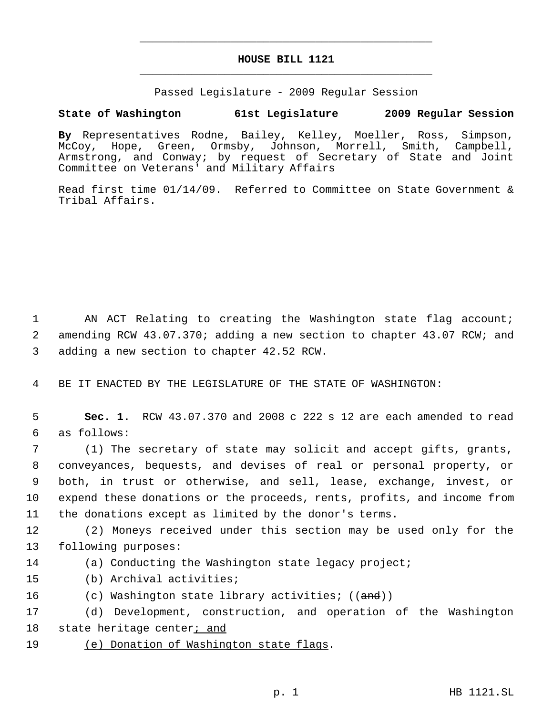# **HOUSE BILL 1121** \_\_\_\_\_\_\_\_\_\_\_\_\_\_\_\_\_\_\_\_\_\_\_\_\_\_\_\_\_\_\_\_\_\_\_\_\_\_\_\_\_\_\_\_\_

\_\_\_\_\_\_\_\_\_\_\_\_\_\_\_\_\_\_\_\_\_\_\_\_\_\_\_\_\_\_\_\_\_\_\_\_\_\_\_\_\_\_\_\_\_

Passed Legislature - 2009 Regular Session

## **State of Washington 61st Legislature 2009 Regular Session**

**By** Representatives Rodne, Bailey, Kelley, Moeller, Ross, Simpson, McCoy, Hope, Green, Ormsby, Johnson, Morrell, Smith, Campbell, Armstrong, and Conway; by request of Secretary of State and Joint Committee on Veterans' and Military Affairs

Read first time 01/14/09. Referred to Committee on State Government & Tribal Affairs.

 1 AN ACT Relating to creating the Washington state flag account; 2 amending RCW 43.07.370; adding a new section to chapter 43.07 RCW; and 3 adding a new section to chapter 42.52 RCW.

4 BE IT ENACTED BY THE LEGISLATURE OF THE STATE OF WASHINGTON:

 5 **Sec. 1.** RCW 43.07.370 and 2008 c 222 s 12 are each amended to read 6 as follows:

 (1) The secretary of state may solicit and accept gifts, grants, conveyances, bequests, and devises of real or personal property, or both, in trust or otherwise, and sell, lease, exchange, invest, or expend these donations or the proceeds, rents, profits, and income from the donations except as limited by the donor's terms.

12 (2) Moneys received under this section may be used only for the 13 following purposes:

14 (a) Conducting the Washington state legacy project;

- 15 (b) Archival activities;
- 16 (c) Washington state library activities; ((and))

17 (d) Development, construction, and operation of the Washington 18 state heritage center<sub>i</sub> and

19 (e) Donation of Washington state flags.